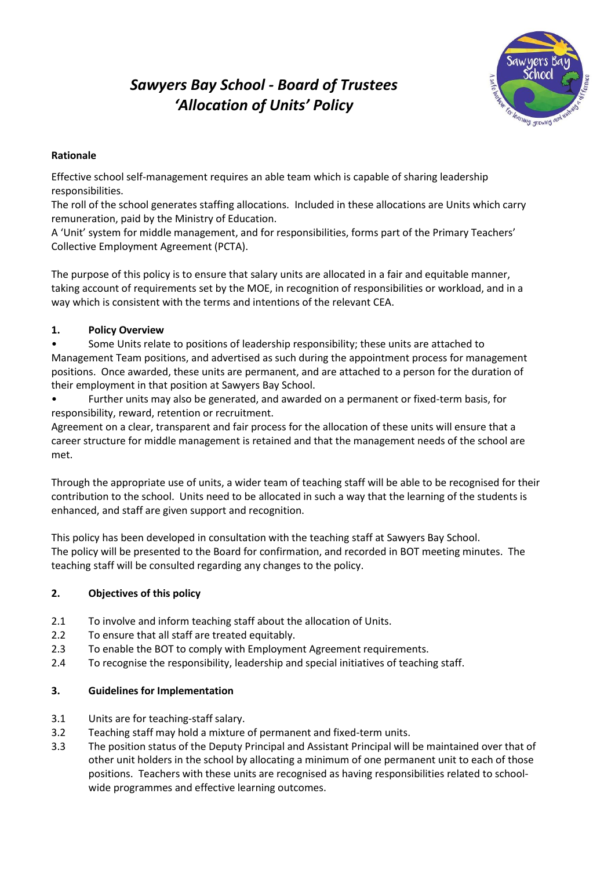# *Sawyers Bay School - Board of Trustees 'Allocation of Units' Policy*



## **Rationale**

Effective school self-management requires an able team which is capable of sharing leadership responsibilities.

The roll of the school generates staffing allocations. Included in these allocations are Units which carry remuneration, paid by the Ministry of Education.

A 'Unit' system for middle management, and for responsibilities, forms part of the Primary Teachers' Collective Employment Agreement (PCTA).

The purpose of this policy is to ensure that salary units are allocated in a fair and equitable manner, taking account of requirements set by the MOE, in recognition of responsibilities or workload, and in a way which is consistent with the terms and intentions of the relevant CEA.

### **1. Policy Overview**

• Some Units relate to positions of leadership responsibility; these units are attached to Management Team positions, and advertised as such during the appointment process for management positions. Once awarded, these units are permanent, and are attached to a person for the duration of their employment in that position at Sawyers Bay School.

• Further units may also be generated, and awarded on a permanent or fixed-term basis, for responsibility, reward, retention or recruitment.

Agreement on a clear, transparent and fair process for the allocation of these units will ensure that a career structure for middle management is retained and that the management needs of the school are met.

Through the appropriate use of units, a wider team of teaching staff will be able to be recognised for their contribution to the school. Units need to be allocated in such a way that the learning of the students is enhanced, and staff are given support and recognition.

This policy has been developed in consultation with the teaching staff at Sawyers Bay School. The policy will be presented to the Board for confirmation, and recorded in BOT meeting minutes. The teaching staff will be consulted regarding any changes to the policy.

## **2. Objectives of this policy**

- 2.1 To involve and inform teaching staff about the allocation of Units.
- 2.2 To ensure that all staff are treated equitably.
- 2.3 To enable the BOT to comply with Employment Agreement requirements.
- 2.4 To recognise the responsibility, leadership and special initiatives of teaching staff.

#### **3. Guidelines for Implementation**

- 3.1 Units are for teaching-staff salary.
- 3.2 Teaching staff may hold a mixture of permanent and fixed-term units.
- 3.3 The position status of the Deputy Principal and Assistant Principal will be maintained over that of other unit holders in the school by allocating a minimum of one permanent unit to each of those positions. Teachers with these units are recognised as having responsibilities related to schoolwide programmes and effective learning outcomes.